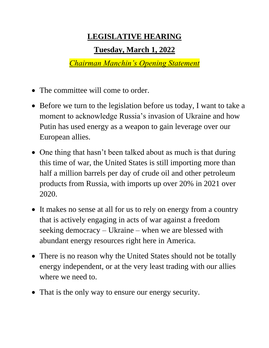## **LEGISLATIVE HEARING**

## **Tuesday, March 1, 2022**

*Chairman Manchin's Opening Statement*

- The committee will come to order.
- Before we turn to the legislation before us today, I want to take a moment to acknowledge Russia's invasion of Ukraine and how Putin has used energy as a weapon to gain leverage over our European allies.
- One thing that hasn't been talked about as much is that during this time of war, the United States is still importing more than half a million barrels per day of crude oil and other petroleum products from Russia, with imports up over 20% in 2021 over 2020.
- It makes no sense at all for us to rely on energy from a country that is actively engaging in acts of war against a freedom seeking democracy – Ukraine – when we are blessed with abundant energy resources right here in America.
- There is no reason why the United States should not be totally energy independent, or at the very least trading with our allies where we need to.
- That is the only way to ensure our energy security.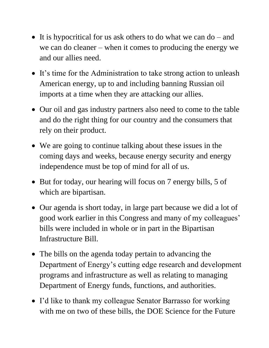- It is hypocritical for us ask others to do what we can do and we can do cleaner – when it comes to producing the energy we and our allies need.
- It's time for the Administration to take strong action to unleash American energy, up to and including banning Russian oil imports at a time when they are attacking our allies.
- Our oil and gas industry partners also need to come to the table and do the right thing for our country and the consumers that rely on their product.
- We are going to continue talking about these issues in the coming days and weeks, because energy security and energy independence must be top of mind for all of us.
- But for today, our hearing will focus on 7 energy bills, 5 of which are bipartisan.
- Our agenda is short today, in large part because we did a lot of good work earlier in this Congress and many of my colleagues' bills were included in whole or in part in the Bipartisan Infrastructure Bill.
- The bills on the agenda today pertain to advancing the Department of Energy's cutting edge research and development programs and infrastructure as well as relating to managing Department of Energy funds, functions, and authorities.
- I'd like to thank my colleague Senator Barrasso for working with me on two of these bills, the DOE Science for the Future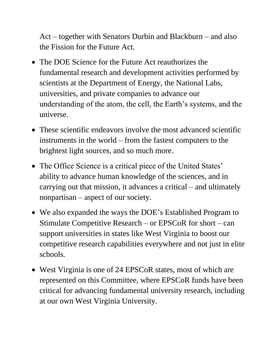Act – together with Senators Durbin and Blackburn – and also the Fission for the Future Act.

- The DOE Science for the Future Act reauthorizes the fundamental research and development activities performed by scientists at the Department of Energy, the National Labs, universities, and private companies to advance our understanding of the atom, the cell, the Earth's systems, and the universe.
- These scientific endeavors involve the most advanced scientific instruments in the world – from the fastest computers to the brightest light sources, and so much more.
- The Office Science is a critical piece of the United States' ability to advance human knowledge of the sciences, and in carrying out that mission, it advances a critical – and ultimately nonpartisan – aspect of our society.
- We also expanded the ways the DOE's Established Program to Stimulate Competitive Research – or EPSCoR for short – can support universities in states like West Virginia to boost our competitive research capabilities everywhere and not just in elite schools.
- West Virginia is one of 24 EPSCoR states, most of which are represented on this Committee, where EPSCoR funds have been critical for advancing fundamental university research, including at our own West Virginia University.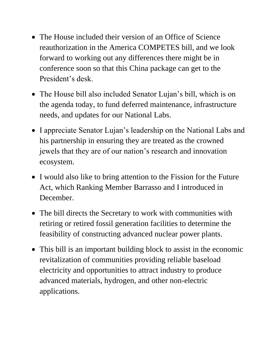- The House included their version of an Office of Science reauthorization in the America COMPETES bill, and we look forward to working out any differences there might be in conference soon so that this China package can get to the President's desk.
- The House bill also included Senator Lujan's bill, which is on the agenda today, to fund deferred maintenance, infrastructure needs, and updates for our National Labs.
- I appreciate Senator Lujan's leadership on the National Labs and his partnership in ensuring they are treated as the crowned jewels that they are of our nation's research and innovation ecosystem.
- I would also like to bring attention to the Fission for the Future Act, which Ranking Member Barrasso and I introduced in December.
- The bill directs the Secretary to work with communities with retiring or retired fossil generation facilities to determine the feasibility of constructing advanced nuclear power plants.
- This bill is an important building block to assist in the economic revitalization of communities providing reliable baseload electricity and opportunities to attract industry to produce advanced materials, hydrogen, and other non-electric applications.